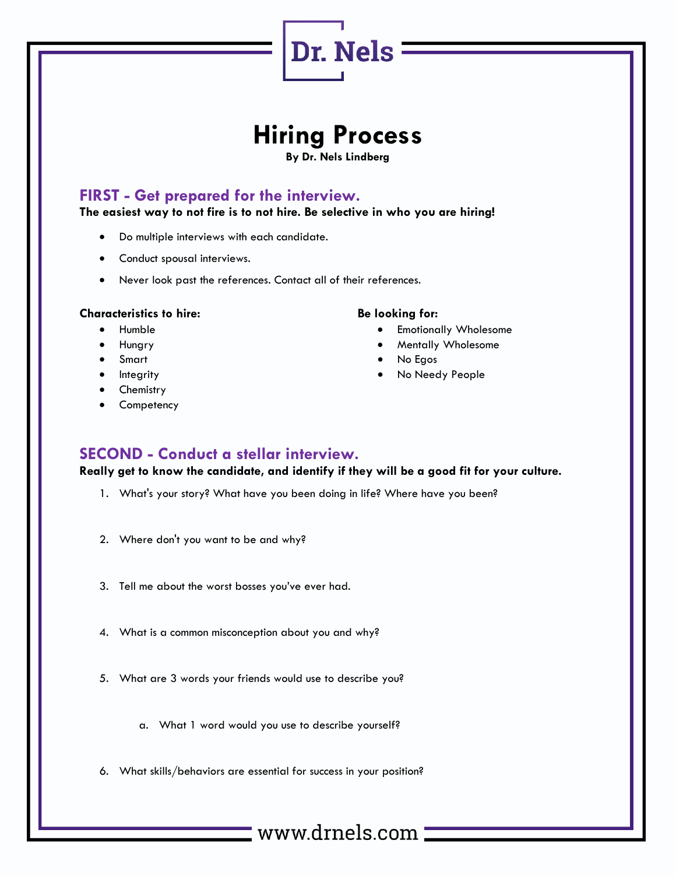# **Hiring Process**

Dr. Nels =

**By Dr. Nels Lindberg**

## **FIRST - Get prepared for the interview.**

**The easiest way to not fire is to not hire. Be selective in who you are hiring!**

- Do multiple interviews with each candidate.
- Conduct spousal interviews.
- Never look past the references. Contact all of their references.

#### **Characteristics to hire:**

- Humble
- Hungry
- **Smart**
- **Integrity**
- **Chemistry**
- **Competency**

### **Be looking for:**

- **Emotionally Wholesome**
- Mentally Wholesome
- No Egos
- No Needy People

## **SECOND - Conduct a stellar interview.**

**Really get to know the candidate, and identify if they will be a good fit for your culture.**

- 1. What's your story? What have you been doing in life? Where have you been?
- 2. Where don't you want to be and why?
- 3. Tell me about the worst bosses you've ever had.
- 4. What is a common misconception about you and why?
- 5. What are 3 words your friends would use to describe you?
	- a. What 1 word would you use to describe yourself?
- 6. What skills/behaviors are essential for success in your position?